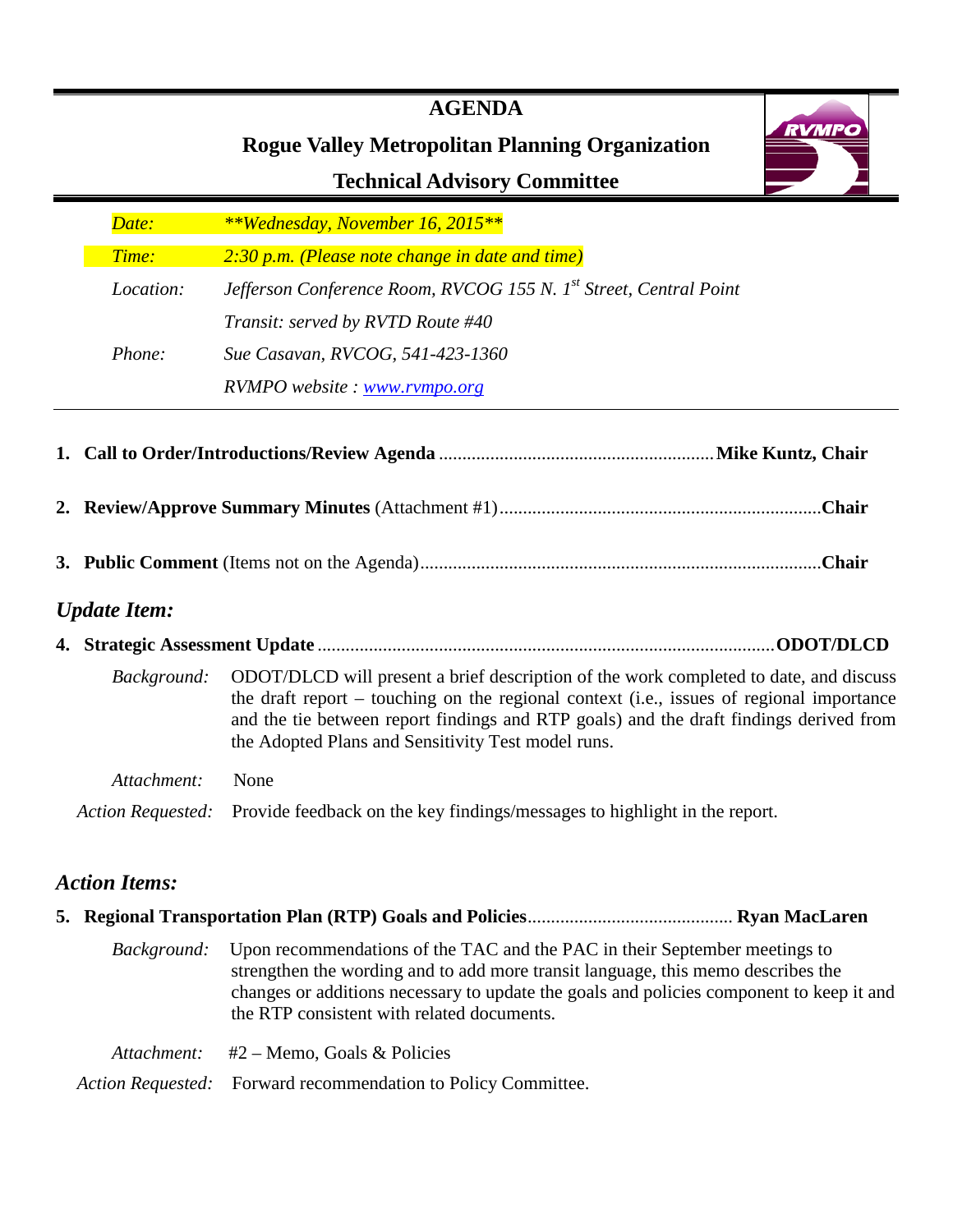# **RVMPO Rogue Valley Metropolitan Planning Organization Technical Advisory Committee** *0BDate: \*\*Monday, November 16, 2015\*\* Time:* 2:30 p.m. (Please note change in date and time)

Location: Jefferson Conference Room, RVCOG 155 N. 1<sup>st</sup> Street, Central Point *Transit: served by RVTD Route #40 3BPhone: Sue Casavan, RVCOG, 541-423-1360 RVMPO website : [www.rvmpo.org](http://www.rvmpo.org/)*

**1. Call to Order/Introductions/Review Agenda** ........................................................... **Mike Kuntz, Chair 2. Review/Approve Summary Minutes** (Attachment #1) .....................................................................**Chair 3. Public Comment** (Items not on the Agenda) ......................................................................................**Chair** *Update Item:* **4. Strategic Assessment Update** .................................................................................................. **ODOT/DLCD** *Background:* ODOT/DLCD will present a brief description of the work completed to date, and discuss the draft report – touching on the regional context (i.e., issues of regional importance and the tie between report findings and RTP goals) and the draft findings derived from

 *Attachment:* None

*Action Requested:* Provide feedback on the key findings/messages to highlight in the report.

# *Action Items:*

|  | <i>Background:</i> Upon recommendations of the TAC and the PAC in their September meetings to<br>strengthen the wording and to add more transit language, this memo describes the<br>changes or additions necessary to update the goals and policies component to keep it and<br>the RTP consistent with related documents. |
|--|-----------------------------------------------------------------------------------------------------------------------------------------------------------------------------------------------------------------------------------------------------------------------------------------------------------------------------|
|  | <i>Attachment:</i> $#2$ – Memo, Goals & Policies                                                                                                                                                                                                                                                                            |
|  | Action Requested: Forward recommendation to Policy Committee.                                                                                                                                                                                                                                                               |

# **AGENDA**

the Adopted Plans and Sensitivity Test model runs.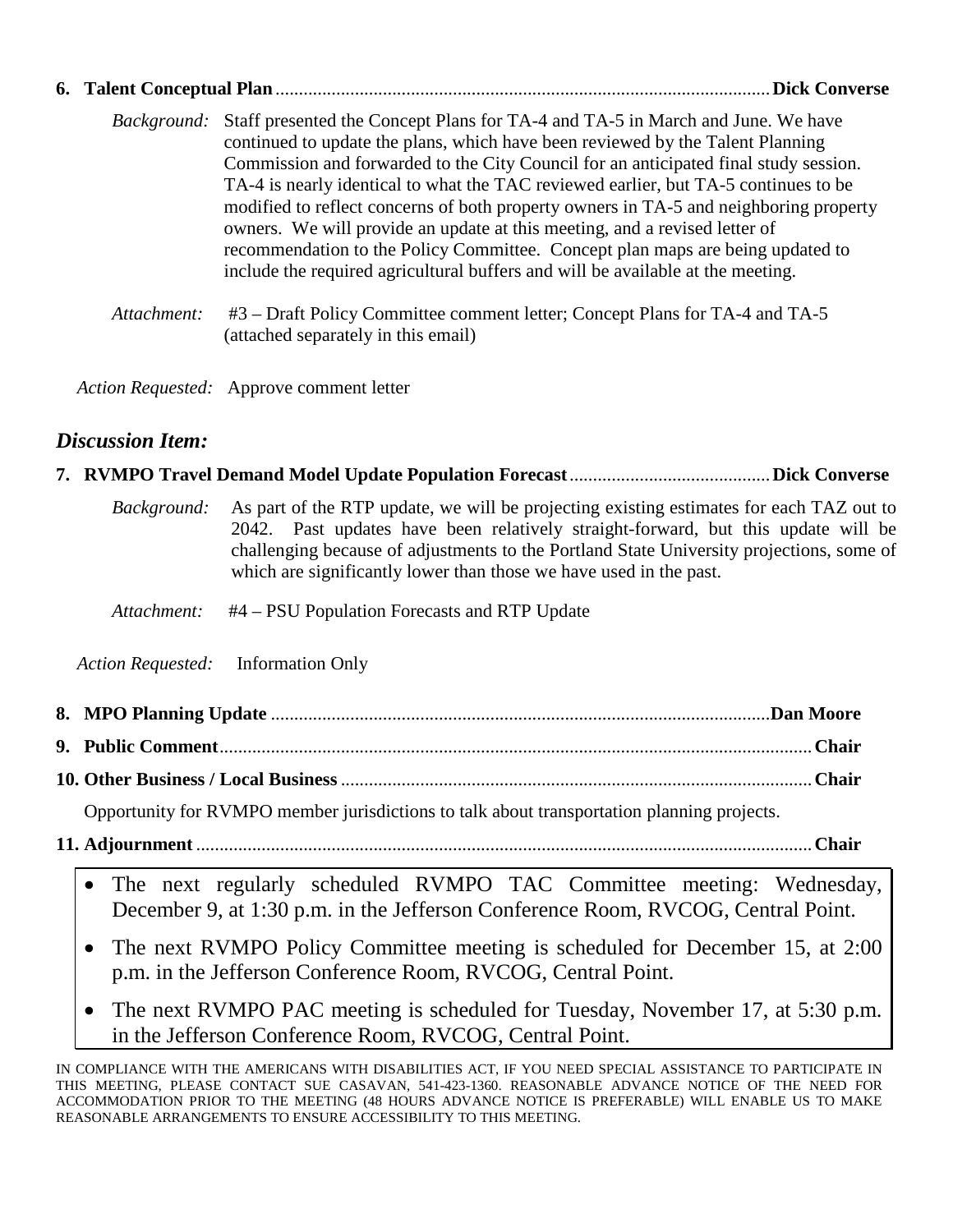| 6. Talent Conceptual Plan | <b>Dick Converse</b>                                                                                                                                                                                                                                                                                                                                                                                                                                                                                                                                                                                                                                                                                           |
|---------------------------|----------------------------------------------------------------------------------------------------------------------------------------------------------------------------------------------------------------------------------------------------------------------------------------------------------------------------------------------------------------------------------------------------------------------------------------------------------------------------------------------------------------------------------------------------------------------------------------------------------------------------------------------------------------------------------------------------------------|
|                           | <i>Background:</i> Staff presented the Concept Plans for TA-4 and TA-5 in March and June. We have<br>continued to update the plans, which have been reviewed by the Talent Planning<br>Commission and forwarded to the City Council for an anticipated final study session.<br>TA-4 is nearly identical to what the TAC reviewed earlier, but TA-5 continues to be<br>modified to reflect concerns of both property owners in TA-5 and neighboring property<br>owners. We will provide an update at this meeting, and a revised letter of<br>recommendation to the Policy Committee. Concept plan maps are being updated to<br>include the required agricultural buffers and will be available at the meeting. |
| Attachment:               | #3 – Draft Policy Committee comment letter; Concept Plans for TA-4 and TA-5                                                                                                                                                                                                                                                                                                                                                                                                                                                                                                                                                                                                                                    |

*Action Requested:* Approve comment letter

# *Discussion Item:*

|--|--|--|

| <i>Background:</i> As part of the RTP update, we will be projecting existing estimates for each TAZ out to |
|------------------------------------------------------------------------------------------------------------|
| 2042. Past updates have been relatively straight-forward, but this update will be                          |
| challenging because of adjustments to the Portland State University projections, some of                   |
| which are significantly lower than those we have used in the past.                                         |

 *Attachment:* #4 – PSU Population Forecasts and RTP Update

(attached separately in this email)

*Action Requested:* Information Only

- **9. Public Comment** ............................................................................................................................... **Chair**
- **10. Other Business / Local Business** ..................................................................................................... **Chair**

Opportunity for RVMPO member jurisdictions to talk about transportation planning projects.

- **11. Adjournment** .................................................................................................................................... **Chair**
	- The next regularly scheduled RVMPO TAC Committee meeting: Wednesday, December 9, at 1:30 p.m. in the Jefferson Conference Room, RVCOG, Central Point.
	- The next RVMPO Policy Committee meeting is scheduled for December 15, at 2:00 p.m. in the Jefferson Conference Room, RVCOG, Central Point.
	- The next RVMPO PAC meeting is scheduled for Tuesday, November 17, at 5:30 p.m. in the Jefferson Conference Room, RVCOG, Central Point.

IN COMPLIANCE WITH THE AMERICANS WITH DISABILITIES ACT, IF YOU NEED SPECIAL ASSISTANCE TO PARTICIPATE IN THIS MEETING, PLEASE CONTACT SUE CASAVAN, 541-423-1360. REASONABLE ADVANCE NOTICE OF THE NEED FOR ACCOMMODATION PRIOR TO THE MEETING (48 HOURS ADVANCE NOTICE IS PREFERABLE) WILL ENABLE US TO MAKE REASONABLE ARRANGEMENTS TO ENSURE ACCESSIBILITY TO THIS MEETING.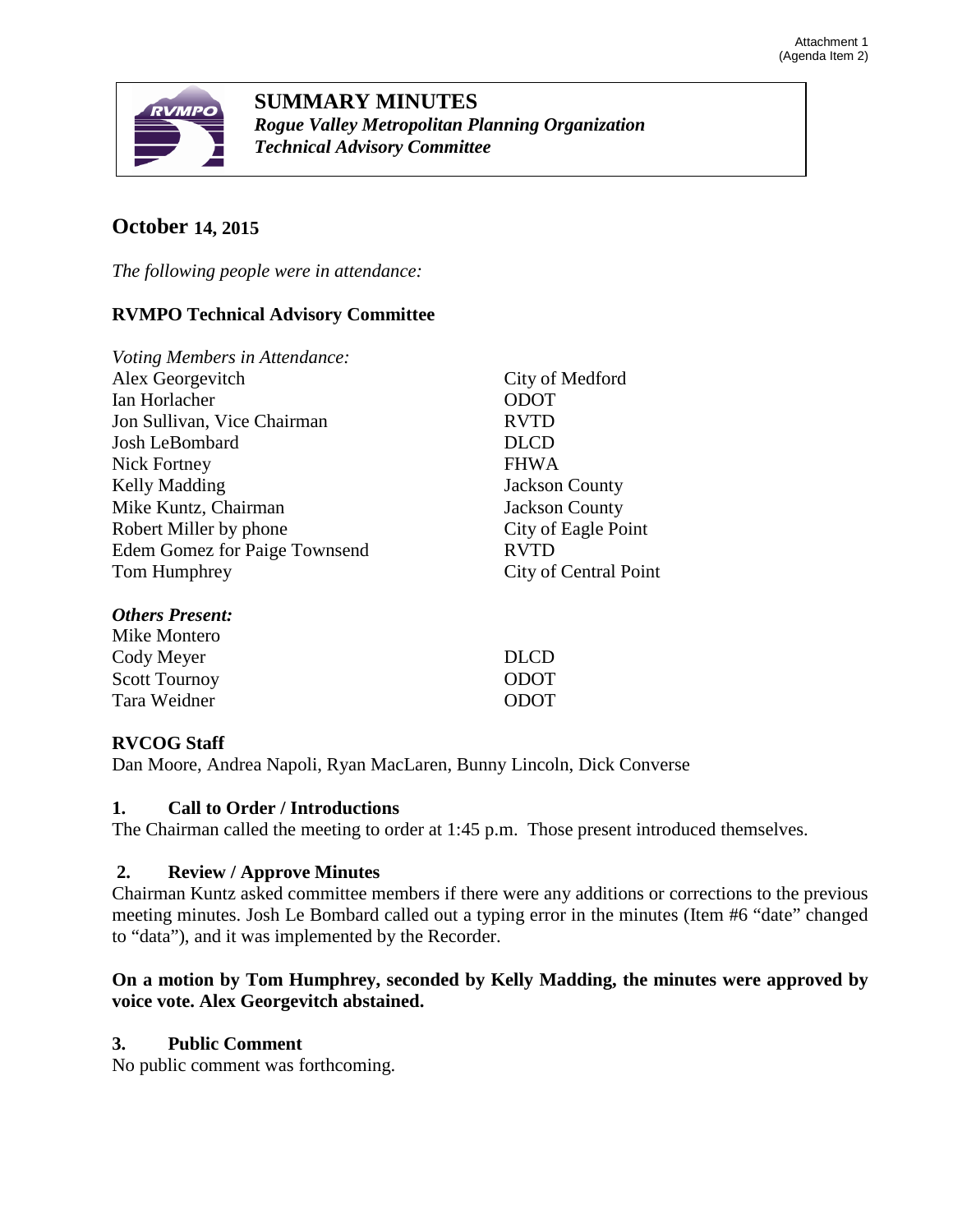

**SUMMARY MINUTES** *Rogue Valley Metropolitan Planning Organization Technical Advisory Committee*

# **October 14, 2015**

*The following people were in attendance:* 

# **RVMPO Technical Advisory Committee**

| Voting Members in Attendance:        |                       |
|--------------------------------------|-----------------------|
| Alex Georgevitch                     | City of Medford       |
| Ian Horlacher                        | <b>ODOT</b>           |
| Jon Sullivan, Vice Chairman          | <b>RVTD</b>           |
| Josh LeBombard                       | <b>DLCD</b>           |
| Nick Fortney                         | <b>FHWA</b>           |
| Kelly Madding                        | <b>Jackson County</b> |
| Mike Kuntz, Chairman                 | <b>Jackson County</b> |
| Robert Miller by phone               | City of Eagle Point   |
| <b>Edem Gomez for Paige Townsend</b> | <b>RVTD</b>           |
| Tom Humphrey                         | City of Central Point |
| <b>Others Present:</b>               |                       |

| Mike Montero         |             |
|----------------------|-------------|
| Cody Meyer           | DLCD        |
| <b>Scott Tournoy</b> | <b>ODOT</b> |
| Tara Weidner         | <b>ODOT</b> |
|                      |             |

# **RVCOG Staff**

Dan Moore, Andrea Napoli, Ryan MacLaren, Bunny Lincoln, Dick Converse

# **1. Call to Order / Introductions**

The Chairman called the meeting to order at 1:45 p.m. Those present introduced themselves.

# **2. Review / Approve Minutes**

Chairman Kuntz asked committee members if there were any additions or corrections to the previous meeting minutes. Josh Le Bombard called out a typing error in the minutes (Item #6 "date" changed to "data"), and it was implemented by the Recorder.

# **On a motion by Tom Humphrey, seconded by Kelly Madding, the minutes were approved by voice vote. Alex Georgevitch abstained.**

# **3. Public Comment**

No public comment was forthcoming.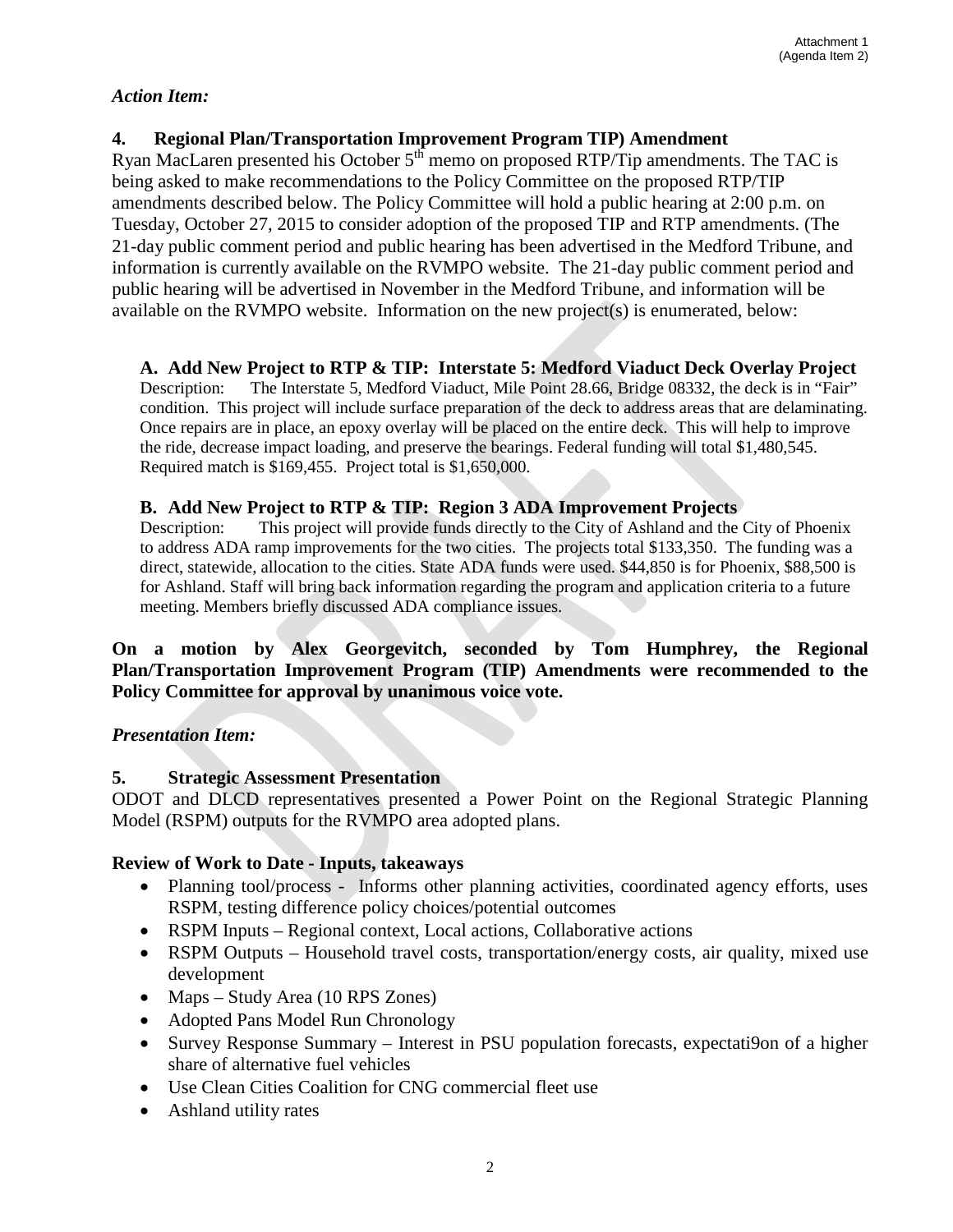## *Action Item:*

# **4. Regional Plan/Transportation Improvement Program TIP) Amendment**

Ryan MacLaren presented his October  $5<sup>th</sup>$  memo on proposed RTP/Tip amendments. The TAC is being asked to make recommendations to the Policy Committee on the proposed RTP/TIP amendments described below. The Policy Committee will hold a public hearing at 2:00 p.m. on Tuesday, October 27, 2015 to consider adoption of the proposed TIP and RTP amendments. (The 21-day public comment period and public hearing has been advertised in the Medford Tribune, and information is currently available on the RVMPO website. The 21-day public comment period and public hearing will be advertised in November in the Medford Tribune, and information will be available on the RVMPO website. Information on the new project(s) is enumerated, below:

# **A. Add New Project to RTP & TIP: Interstate 5: Medford Viaduct Deck Overlay Project**

Description: The Interstate 5, Medford Viaduct, Mile Point 28.66, Bridge 08332, the deck is in "Fair" condition. This project will include surface preparation of the deck to address areas that are delaminating. Once repairs are in place, an epoxy overlay will be placed on the entire deck. This will help to improve the ride, decrease impact loading, and preserve the bearings. Federal funding will total \$1,480,545. Required match is \$169,455. Project total is \$1,650,000.

## **B. Add New Project to RTP & TIP: Region 3 ADA Improvement Projects**

Description: This project will provide funds directly to the City of Ashland and the City of Phoenix to address ADA ramp improvements for the two cities. The projects total \$133,350. The funding was a direct, statewide, allocation to the cities. State ADA funds were used. \$44,850 is for Phoenix, \$88,500 is for Ashland. Staff will bring back information regarding the program and application criteria to a future meeting. Members briefly discussed ADA compliance issues.

## **On a motion by Alex Georgevitch, seconded by Tom Humphrey, the Regional Plan/Transportation Improvement Program (TIP) Amendments were recommended to the Policy Committee for approval by unanimous voice vote.**

# *Presentation Item:*

# **5. Strategic Assessment Presentation**

ODOT and DLCD representatives presented a Power Point on the Regional Strategic Planning Model (RSPM) outputs for the RVMPO area adopted plans.

# **Review of Work to Date - Inputs, takeaways**

- Planning tool/process Informs other planning activities, coordinated agency efforts, uses RSPM, testing difference policy choices/potential outcomes
- RSPM Inputs Regional context, Local actions, Collaborative actions
- RSPM Outputs Household travel costs, transportation/energy costs, air quality, mixed use development
- Maps Study Area (10 RPS Zones)
- Adopted Pans Model Run Chronology
- Survey Response Summary Interest in PSU population forecasts, expectati9on of a higher share of alternative fuel vehicles
- Use Clean Cities Coalition for CNG commercial fleet use
- Ashland utility rates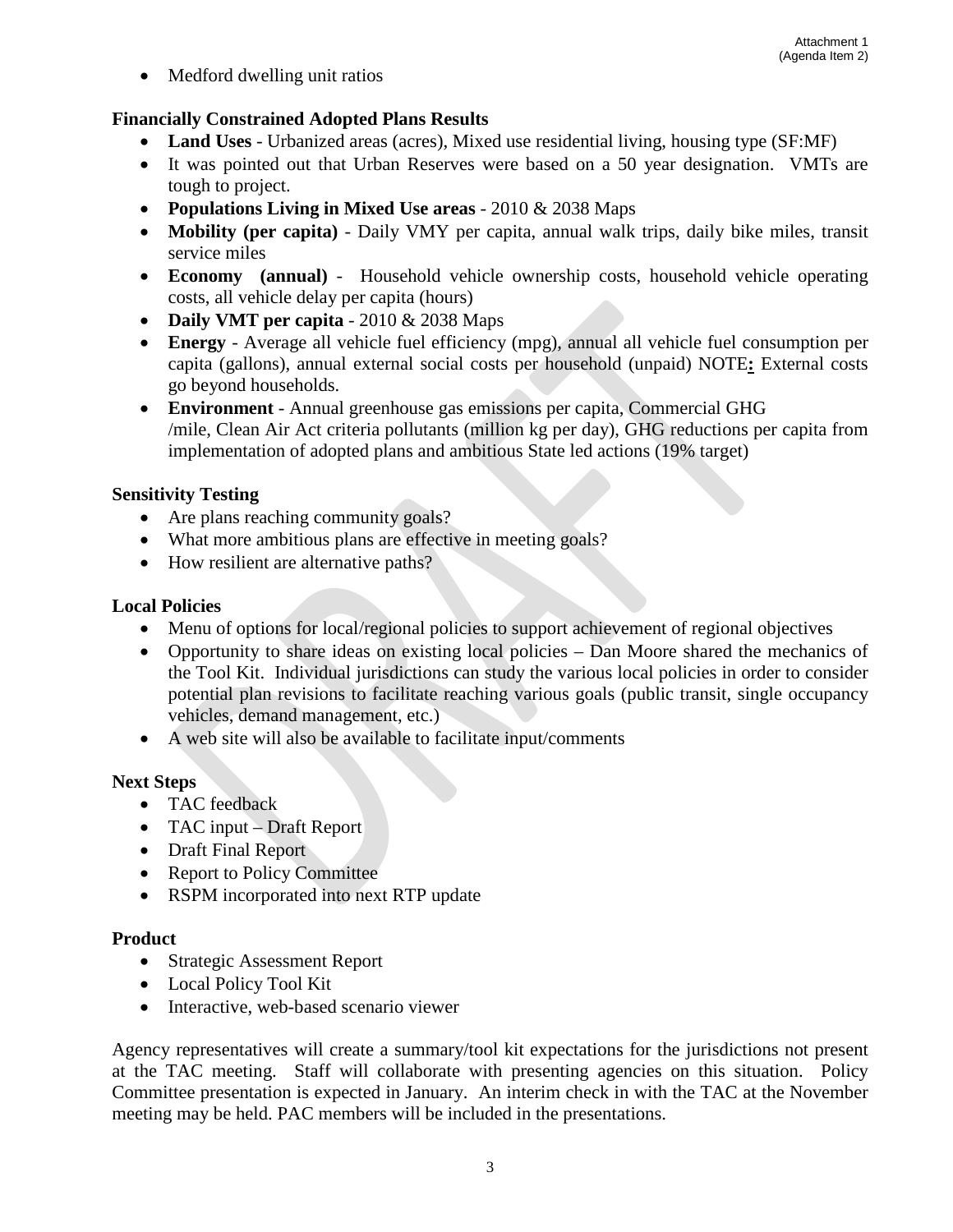• Medford dwelling unit ratios

# **Financially Constrained Adopted Plans Results**

• **Land Uses** - Urbanized areas (acres), Mixed use residential living, housing type (SF:MF)

5

- It was pointed out that Urban Reserves were based on a 50 year designation. VMTs are tough to project.
- **Populations Living in Mixed Use areas** 2010 & 2038 Maps
- **Mobility (per capita)** Daily VMY per capita, annual walk trips, daily bike miles, transit service miles
- **Economy (annual)** Household vehicle ownership costs, household vehicle operating costs, all vehicle delay per capita (hours)
- **Daily VMT per capita** 2010 & 2038 Maps
- **Energy** Average all vehicle fuel efficiency (mpg), annual all vehicle fuel consumption per capita (gallons), annual external social costs per household (unpaid) NOTE**:** External costs go beyond households.
- **Environment** Annual greenhouse gas emissions per capita, Commercial GHG /mile, Clean Air Act criteria pollutants (million kg per day), GHG reductions per capita from implementation of adopted plans and ambitious State led actions (19% target)

# **Sensitivity Testing**

- Are plans reaching community goals?
- What more ambitious plans are effective in meeting goals?
- How resilient are alternative paths?

# **Local Policies**

- Menu of options for local/regional policies to support achievement of regional objectives
- Opportunity to share ideas on existing local policies Dan Moore shared the mechanics of the Tool Kit. Individual jurisdictions can study the various local policies in order to consider potential plan revisions to facilitate reaching various goals (public transit, single occupancy vehicles, demand management, etc.)
- A web site will also be available to facilitate input/comments

# **Next Steps**

- TAC feedback
- TAC input Draft Report
- Draft Final Report
- Report to Policy Committee
- RSPM incorporated into next RTP update

# **Product**

- Strategic Assessment Report
- Local Policy Tool Kit
- Interactive, web-based scenario viewer

Agency representatives will create a summary/tool kit expectations for the jurisdictions not present at the TAC meeting. Staff will collaborate with presenting agencies on this situation. Policy Committee presentation is expected in January. An interim check in with the TAC at the November meeting may be held. PAC members will be included in the presentations.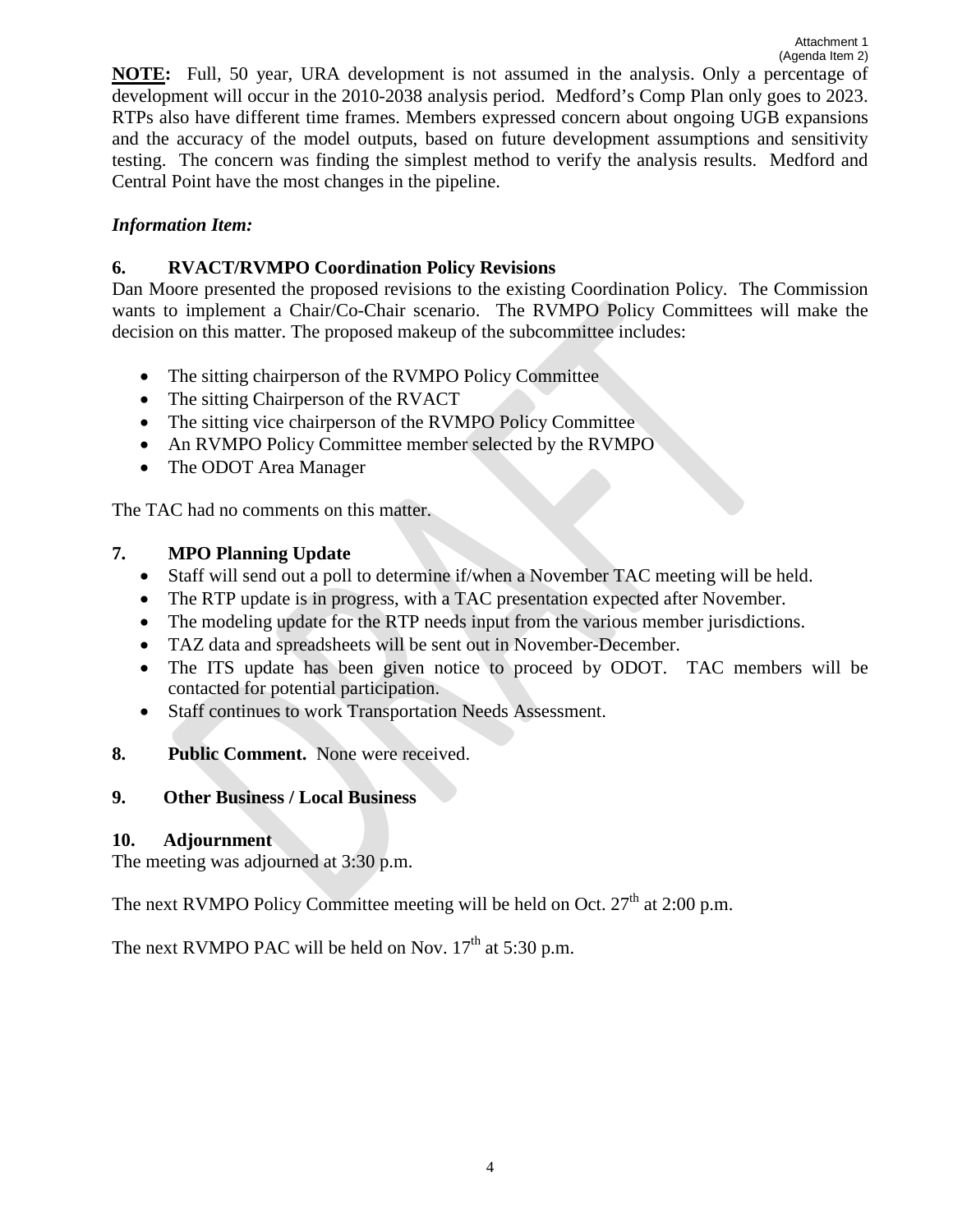**NOTE:** Full, 50 year, URA development is not assumed in the analysis. Only a percentage of development will occur in the 2010-2038 analysis period. Medford's Comp Plan only goes to 2023. RTPs also have different time frames. Members expressed concern about ongoing UGB expansions and the accuracy of the model outputs, based on future development assumptions and sensitivity testing. The concern was finding the simplest method to verify the analysis results. Medford and Central Point have the most changes in the pipeline.

# *Information Item:*

# **6. RVACT/RVMPO Coordination Policy Revisions**

Dan Moore presented the proposed revisions to the existing Coordination Policy. The Commission wants to implement a Chair/Co-Chair scenario. The RVMPO Policy Committees will make the decision on this matter. The proposed makeup of the subcommittee includes:

- The sitting chairperson of the RVMPO Policy Committee
- The sitting Chairperson of the RVACT
- The sitting vice chairperson of the RVMPO Policy Committee
- An RVMPO Policy Committee member selected by the RVMPO
- The ODOT Area Manager

The TAC had no comments on this matter.

# **7. MPO Planning Update**

- Staff will send out a poll to determine if/when a November TAC meeting will be held.
- The RTP update is in progress, with a TAC presentation expected after November.
- The modeling update for the RTP needs input from the various member jurisdictions.
- TAZ data and spreadsheets will be sent out in November-December.
- The ITS update has been given notice to proceed by ODOT. TAC members will be contacted for potential participation.
- Staff continues to work Transportation Needs Assessment.
- **8. Public Comment.** None were received.

# **9. Other Business / Local Business**

# **10. Adjournment**

The meeting was adjourned at 3:30 p.m.

The next RVMPO Policy Committee meeting will be held on Oct.  $27<sup>th</sup>$  at 2:00 p.m.

The next RVMPO PAC will be held on Nov.  $17<sup>th</sup>$  at 5:30 p.m.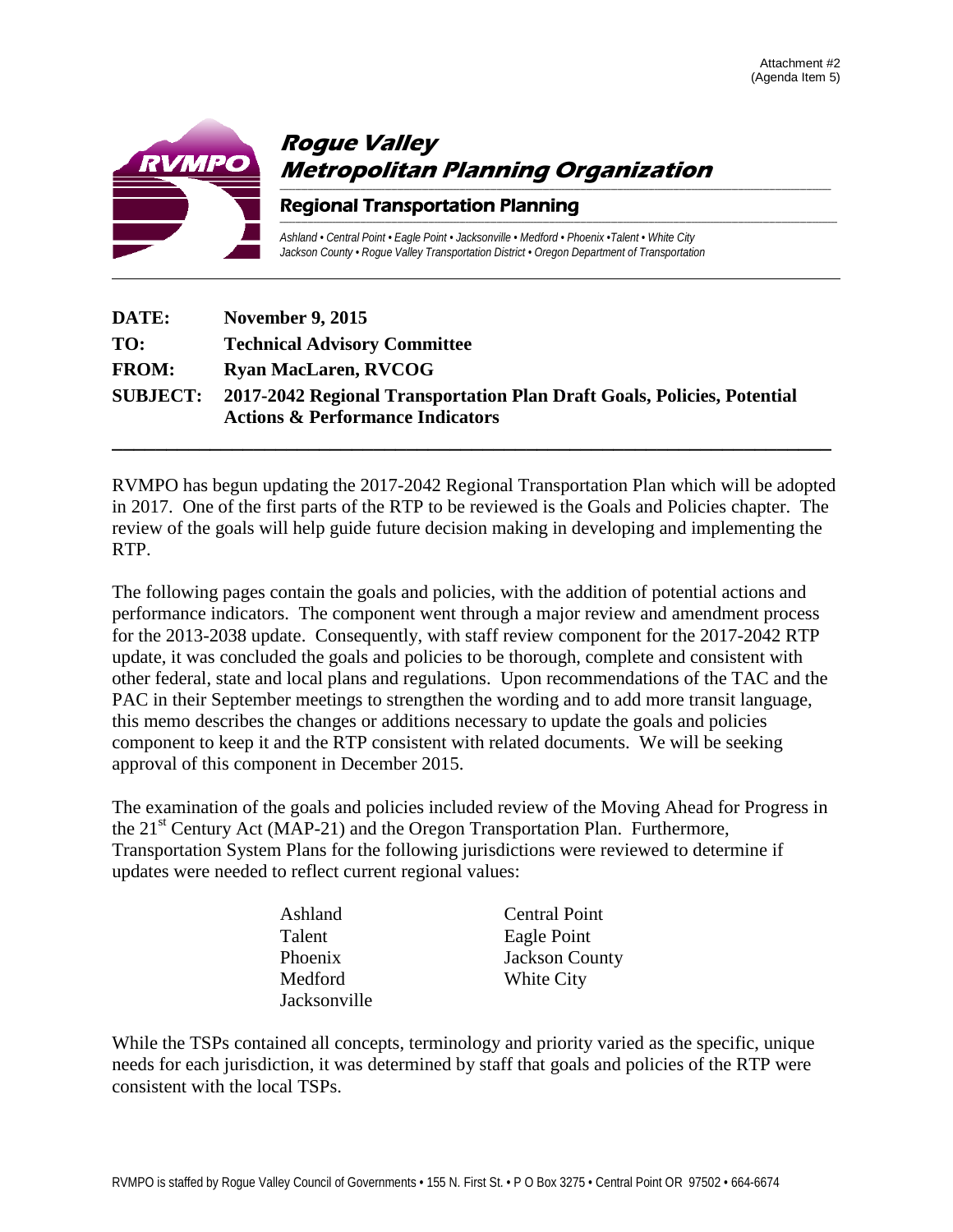

| DATE:        | <b>November 9, 2015</b>                                                                                                         |
|--------------|---------------------------------------------------------------------------------------------------------------------------------|
| TO:          | <b>Technical Advisory Committee</b>                                                                                             |
| <b>FROM:</b> | <b>Ryan MacLaren, RVCOG</b>                                                                                                     |
|              | SUBJECT: 2017-2042 Regional Transportation Plan Draft Goals, Policies, Potential<br><b>Actions &amp; Performance Indicators</b> |

RVMPO has begun updating the 2017-2042 Regional Transportation Plan which will be adopted in 2017. One of the first parts of the RTP to be reviewed is the Goals and Policies chapter. The review of the goals will help guide future decision making in developing and implementing the RTP.

**\_\_\_\_\_\_\_\_\_\_\_\_\_\_\_\_\_\_\_\_\_\_\_\_\_\_\_\_\_\_\_\_\_\_\_\_\_\_\_\_\_\_\_\_\_\_\_\_\_\_\_\_\_\_\_\_\_\_\_\_\_\_\_\_\_\_**

The following pages contain the goals and policies, with the addition of potential actions and performance indicators. The component went through a major review and amendment process for the 2013-2038 update. Consequently, with staff review component for the 2017-2042 RTP update, it was concluded the goals and policies to be thorough, complete and consistent with other federal, state and local plans and regulations. Upon recommendations of the TAC and the PAC in their September meetings to strengthen the wording and to add more transit language, this memo describes the changes or additions necessary to update the goals and policies component to keep it and the RTP consistent with related documents. We will be seeking approval of this component in December 2015.

The examination of the goals and policies included review of the Moving Ahead for Progress in the  $21<sup>st</sup>$  Century Act (MAP-21) and the Oregon Transportation Plan. Furthermore, Transportation System Plans for the following jurisdictions were reviewed to determine if updates were needed to reflect current regional values:

| Ashland      | <b>Central Point</b>  |
|--------------|-----------------------|
| Talent       | Eagle Point           |
| Phoenix      | <b>Jackson County</b> |
| Medford      | White City            |
| Jacksonville |                       |

While the TSPs contained all concepts, terminology and priority varied as the specific, unique needs for each jurisdiction, it was determined by staff that goals and policies of the RTP were consistent with the local TSPs.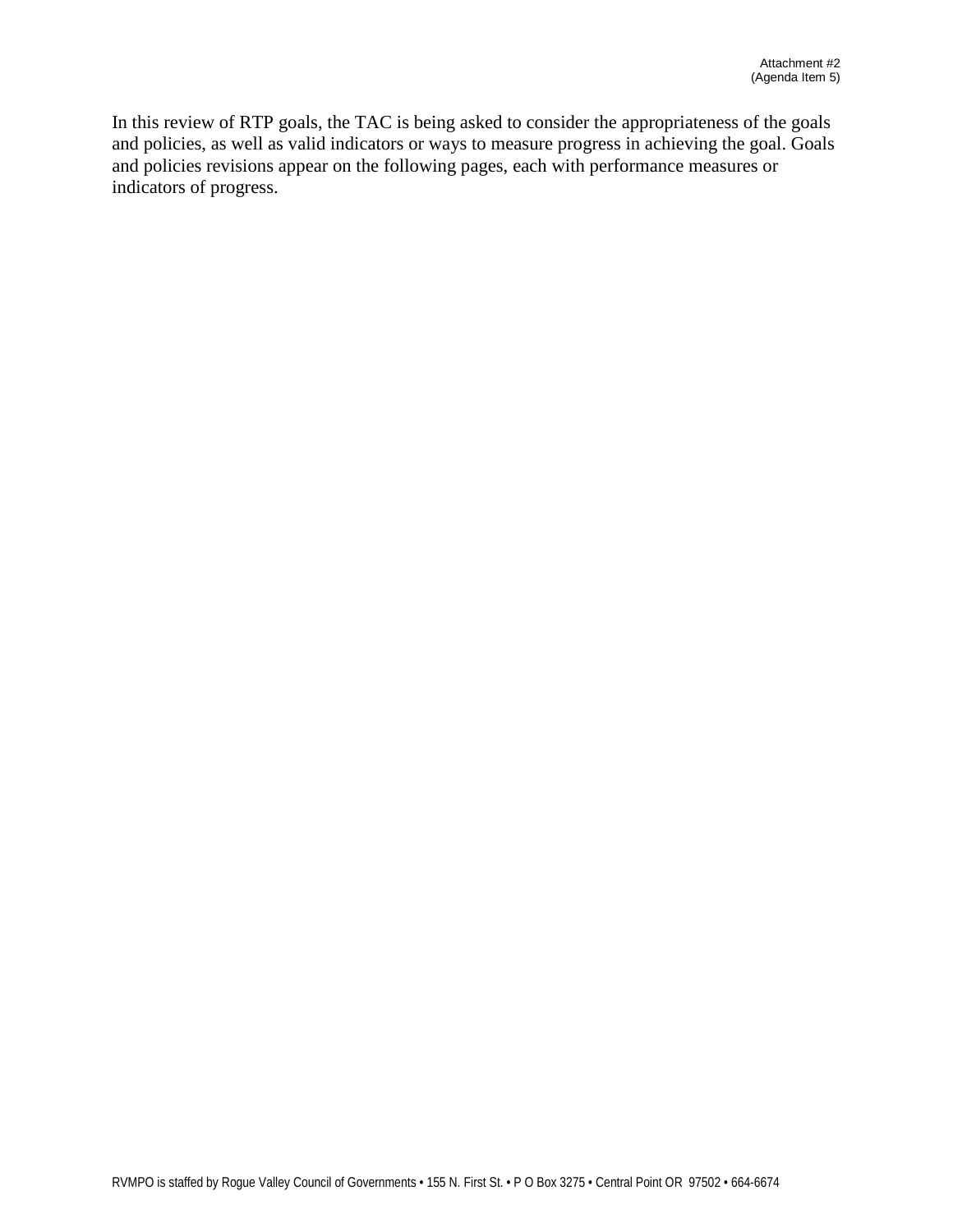In this review of RTP goals, the TAC is being asked to consider the appropriateness of the goals and policies, as well as valid indicators or ways to measure progress in achieving the goal. Goals and policies revisions appear on the following pages, each with performance measures or indicators of progress.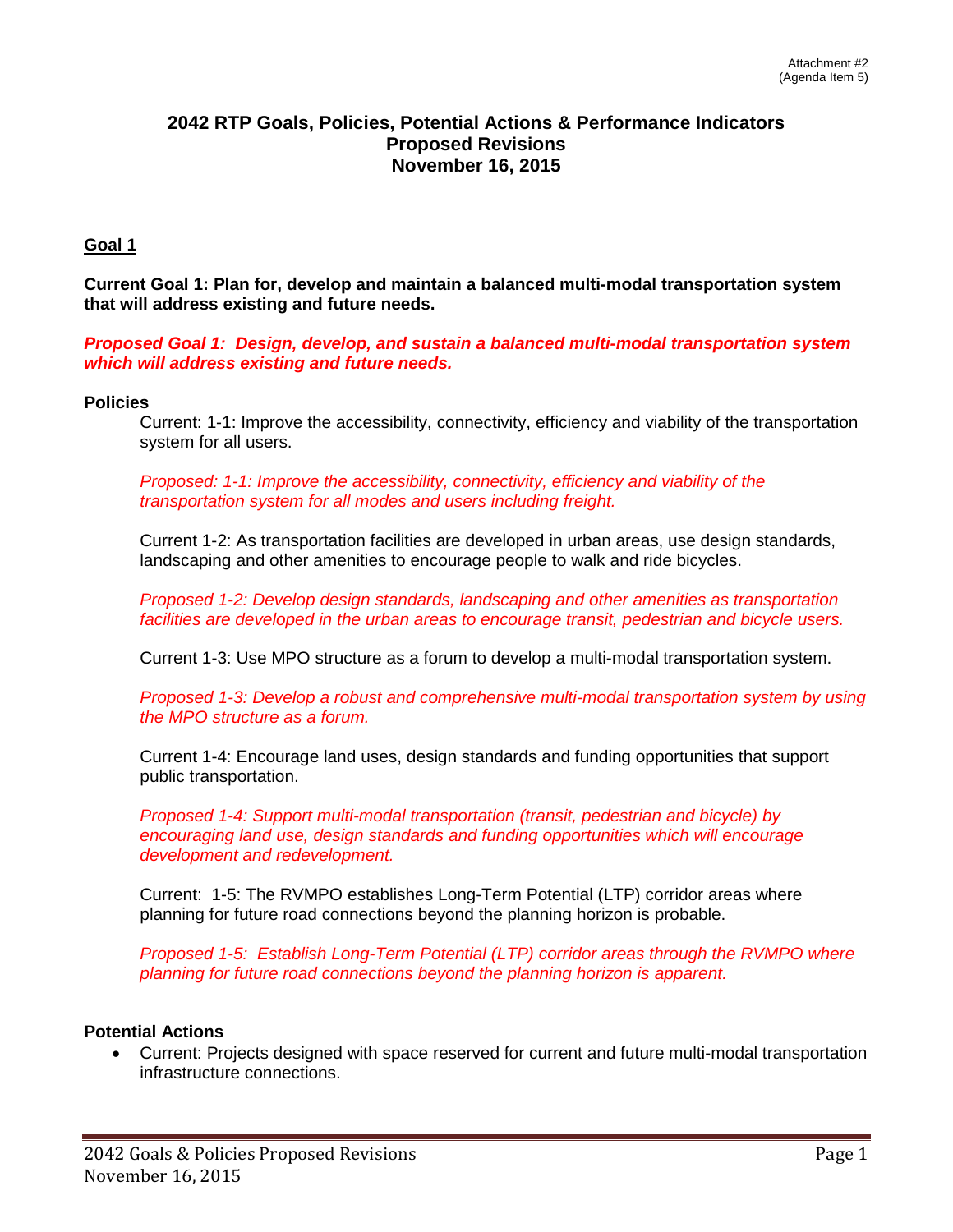## **2042 RTP Goals, Policies, Potential Actions & Performance Indicators Proposed Revisions November 16, 2015**

#### **Goal 1**

**Current Goal 1: Plan for, develop and maintain a balanced multi-modal transportation system that will address existing and future needs.** 

*Proposed Goal 1: Design, develop, and sustain a balanced multi-modal transportation system which will address existing and future needs.*

#### **Policies**

Current: 1-1: Improve the accessibility, connectivity, efficiency and viability of the transportation system for all users.

*Proposed: 1-1: Improve the accessibility, connectivity, efficiency and viability of the transportation system for all modes and users including freight.* 

Current 1-2: As transportation facilities are developed in urban areas, use design standards, landscaping and other amenities to encourage people to walk and ride bicycles.

*Proposed 1-2: Develop design standards, landscaping and other amenities as transportation facilities are developed in the urban areas to encourage transit, pedestrian and bicycle users.*

Current 1-3: Use MPO structure as a forum to develop a multi-modal transportation system.

*Proposed 1-3: Develop a robust and comprehensive multi-modal transportation system by using the MPO structure as a forum.* 

Current 1-4: Encourage land uses, design standards and funding opportunities that support public transportation.

*Proposed 1-4: Support multi-modal transportation (transit, pedestrian and bicycle) by encouraging land use, design standards and funding opportunities which will encourage development and redevelopment.* 

Current: 1-5: The RVMPO establishes Long-Term Potential (LTP) corridor areas where planning for future road connections beyond the planning horizon is probable.

*Proposed 1-5: Establish Long-Term Potential (LTP) corridor areas through the RVMPO where planning for future road connections beyond the planning horizon is apparent.* 

#### **Potential Actions**

• Current: Projects designed with space reserved for current and future multi-modal transportation infrastructure connections.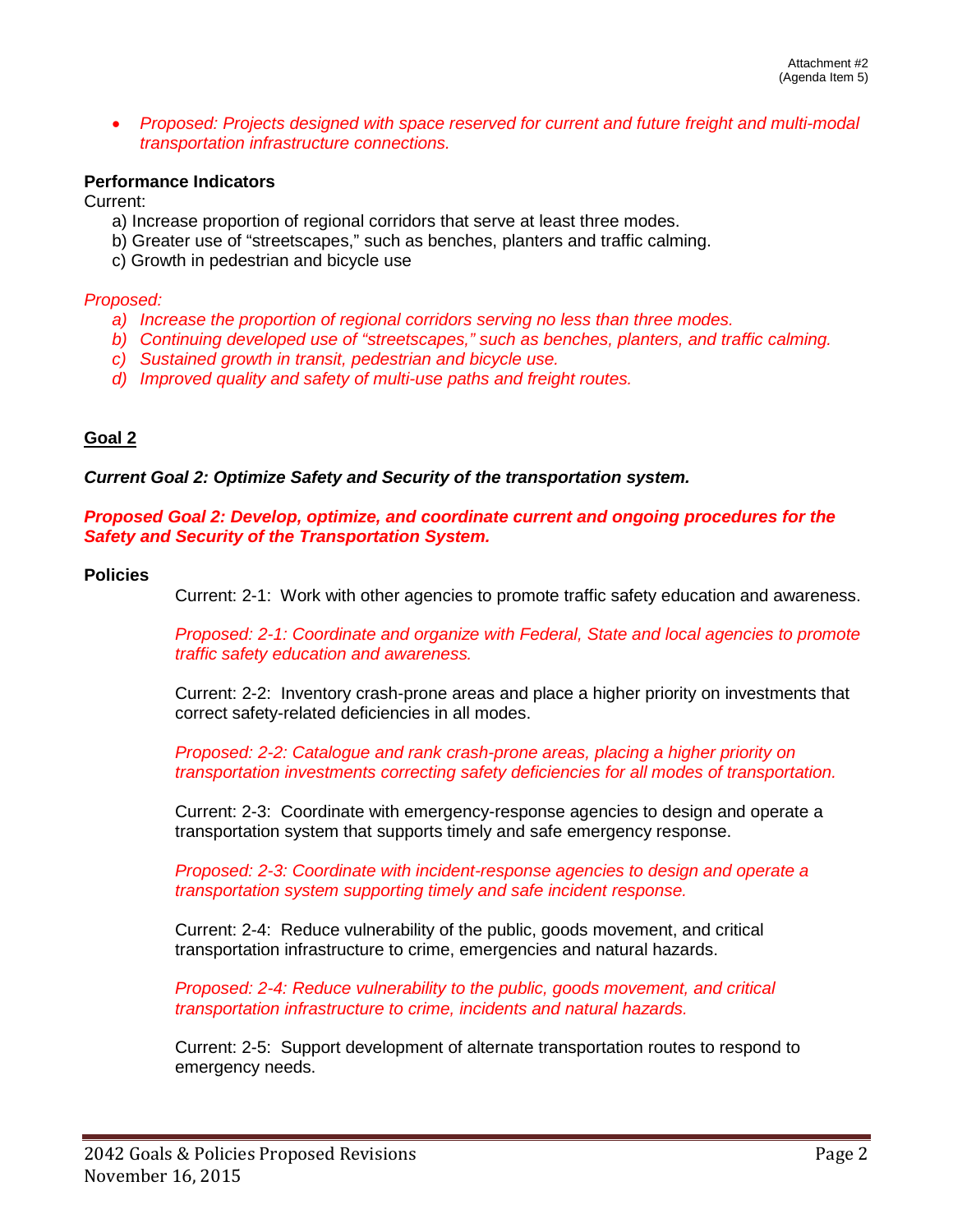• *Proposed: Projects designed with space reserved for current and future freight and multi-modal transportation infrastructure connections.* 

## **Performance Indicators**

Current:

- a) Increase proportion of regional corridors that serve at least three modes.
- b) Greater use of "streetscapes," such as benches, planters and traffic calming.
- c) Growth in pedestrian and bicycle use

#### *Proposed:*

- *a) Increase the proportion of regional corridors serving no less than three modes.*
- *b) Continuing developed use of "streetscapes," such as benches, planters, and traffic calming.*
- *c) Sustained growth in transit, pedestrian and bicycle use.*
- *d) Improved quality and safety of multi-use paths and freight routes.*

# **Goal 2**

#### *Current Goal 2: Optimize Safety and Security of the transportation system.*

*Proposed Goal 2: Develop, optimize, and coordinate current and ongoing procedures for the Safety and Security of the Transportation System.* 

#### **Policies**

Current: 2-1: Work with other agencies to promote traffic safety education and awareness.

*Proposed: 2-1: Coordinate and organize with Federal, State and local agencies to promote traffic safety education and awareness.*

Current: 2-2: Inventory crash-prone areas and place a higher priority on investments that correct safety-related deficiencies in all modes.

*Proposed: 2-2: Catalogue and rank crash-prone areas, placing a higher priority on transportation investments correcting safety deficiencies for all modes of transportation.* 

Current: 2-3: Coordinate with emergency-response agencies to design and operate a transportation system that supports timely and safe emergency response.

*Proposed: 2-3: Coordinate with incident-response agencies to design and operate a transportation system supporting timely and safe incident response.* 

Current: 2-4: Reduce vulnerability of the public, goods movement, and critical transportation infrastructure to crime, emergencies and natural hazards.

*Proposed: 2-4: Reduce vulnerability to the public, goods movement, and critical transportation infrastructure to crime, incidents and natural hazards.* 

Current: 2-5: Support development of alternate transportation routes to respond to emergency needs.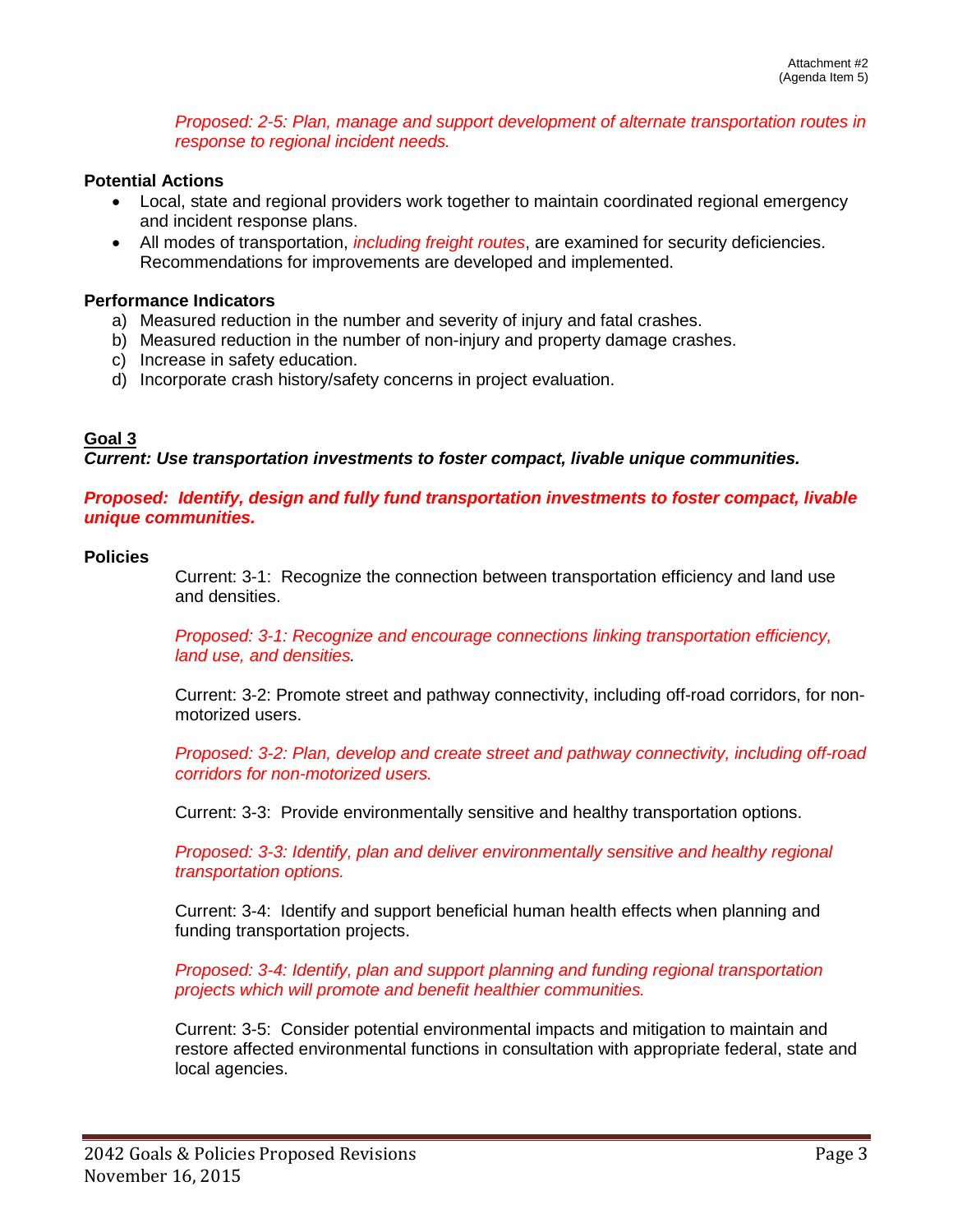*Proposed: 2-5: Plan, manage and support development of alternate transportation routes in response to regional incident needs.* 

## **Potential Actions**

- Local, state and regional providers work together to maintain coordinated regional emergency and incident response plans.
- All modes of transportation, *including freight routes*, are examined for security deficiencies. Recommendations for improvements are developed and implemented.

#### **Performance Indicators**

- a) Measured reduction in the number and severity of injury and fatal crashes.
- b) Measured reduction in the number of non-injury and property damage crashes.
- c) Increase in safety education.
- d) Incorporate crash history/safety concerns in project evaluation.

#### **Goal 3**

*Current: Use transportation investments to foster compact, livable unique communities.*

*Proposed: Identify, design and fully fund transportation investments to foster compact, livable unique communities.* 

#### **Policies**

Current: 3-1: Recognize the connection between transportation efficiency and land use and densities.

*Proposed: 3-1: Recognize and encourage connections linking transportation efficiency, land use, and densities.* 

Current: 3-2: Promote street and pathway connectivity, including off-road corridors, for nonmotorized users.

*Proposed: 3-2: Plan, develop and create street and pathway connectivity, including off-road corridors for non-motorized users.* 

Current: 3-3: Provide environmentally sensitive and healthy transportation options.

*Proposed: 3-3: Identify, plan and deliver environmentally sensitive and healthy regional transportation options.* 

Current: 3-4: Identify and support beneficial human health effects when planning and funding transportation projects.

*Proposed: 3-4: Identify, plan and support planning and funding regional transportation projects which will promote and benefit healthier communities.* 

Current: 3-5: Consider potential environmental impacts and mitigation to maintain and restore affected environmental functions in consultation with appropriate federal, state and local agencies.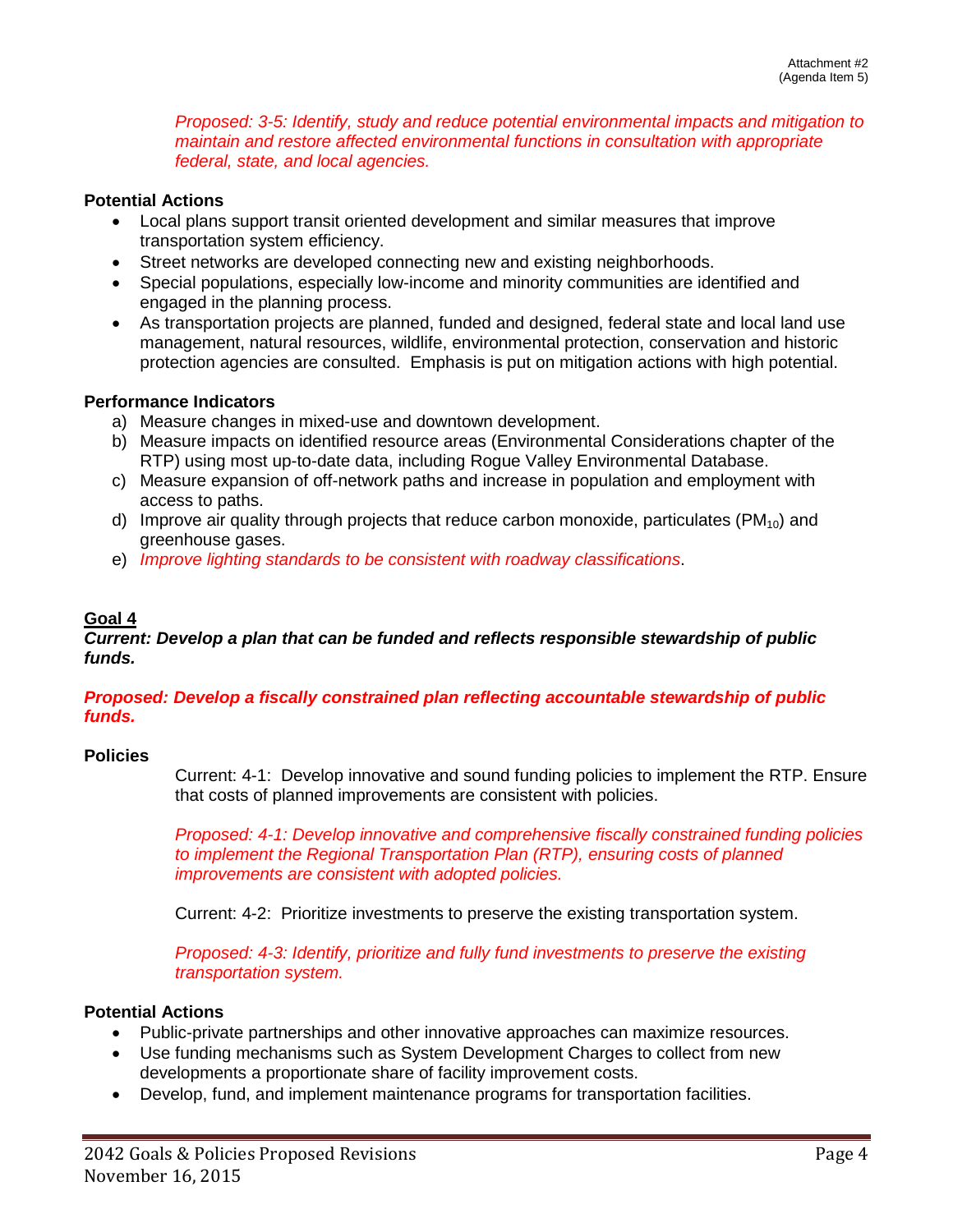*Proposed: 3-5: Identify, study and reduce potential environmental impacts and mitigation to maintain and restore affected environmental functions in consultation with appropriate federal, state, and local agencies.* 

#### **Potential Actions**

- Local plans support transit oriented development and similar measures that improve transportation system efficiency.
- Street networks are developed connecting new and existing neighborhoods.
- Special populations, especially low-income and minority communities are identified and engaged in the planning process.
- As transportation projects are planned, funded and designed, federal state and local land use management, natural resources, wildlife, environmental protection, conservation and historic protection agencies are consulted. Emphasis is put on mitigation actions with high potential.

#### **Performance Indicators**

- a) Measure changes in mixed-use and downtown development.
- b) Measure impacts on identified resource areas (Environmental Considerations chapter of the RTP) using most up-to-date data, including Rogue Valley Environmental Database.
- c) Measure expansion of off-network paths and increase in population and employment with access to paths.
- d) Improve air quality through projects that reduce carbon monoxide, particulates ( $PM_{10}$ ) and greenhouse gases.
- e) *Improve lighting standards to be consistent with roadway classifications*.

## **Goal 4**

#### *Current: Develop a plan that can be funded and reflects responsible stewardship of public funds.*

#### *Proposed: Develop a fiscally constrained plan reflecting accountable stewardship of public funds.*

#### **Policies**

Current: 4-1: Develop innovative and sound funding policies to implement the RTP. Ensure that costs of planned improvements are consistent with policies.

*Proposed: 4-1: Develop innovative and comprehensive fiscally constrained funding policies to implement the Regional Transportation Plan (RTP), ensuring costs of planned improvements are consistent with adopted policies.* 

Current: 4-2: Prioritize investments to preserve the existing transportation system.

*Proposed: 4-3: Identify, prioritize and fully fund investments to preserve the existing transportation system.* 

#### **Potential Actions**

- Public-private partnerships and other innovative approaches can maximize resources.
- Use funding mechanisms such as System Development Charges to collect from new developments a proportionate share of facility improvement costs.
- Develop, fund, and implement maintenance programs for transportation facilities.

12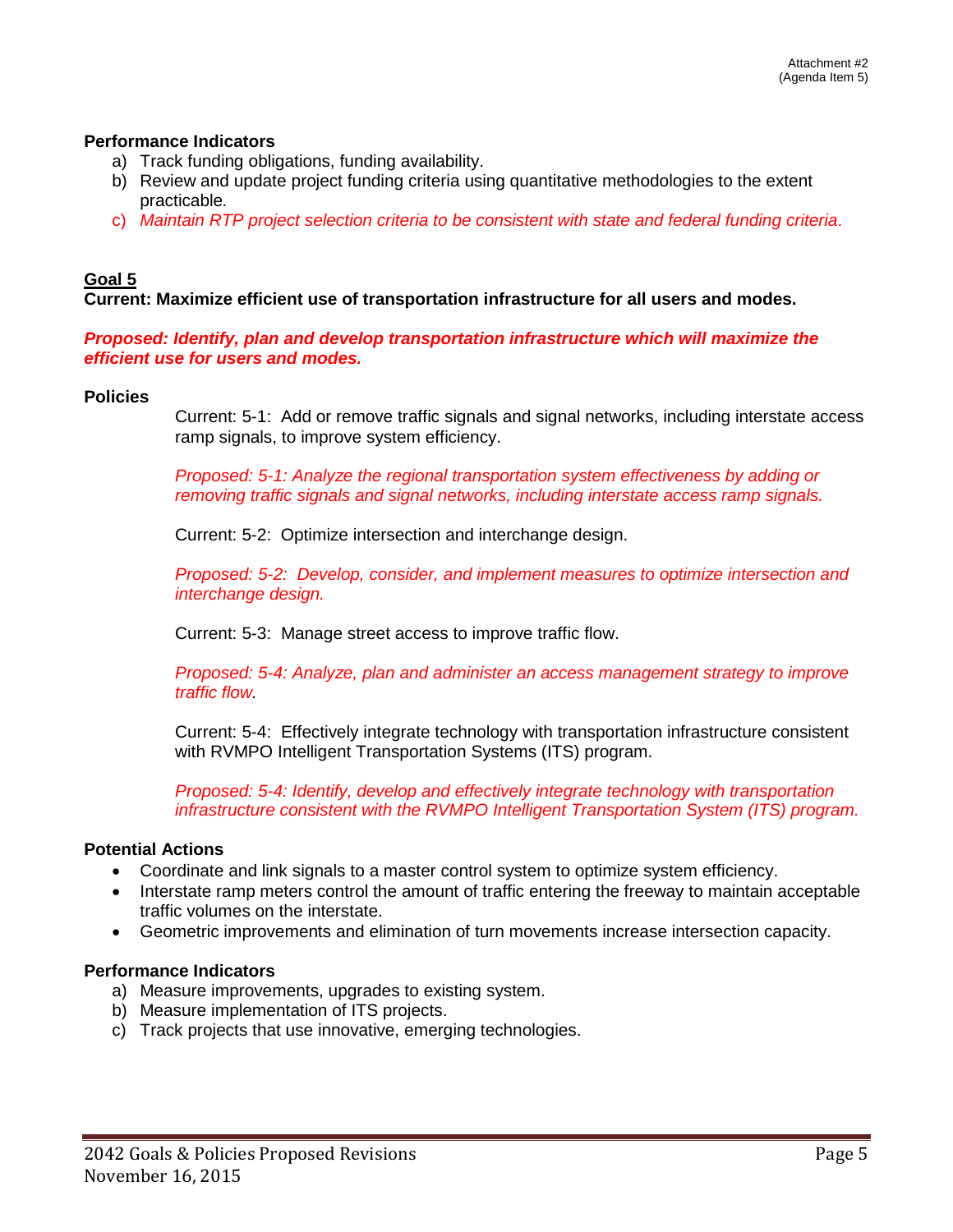#### **Performance Indicators**

- a) Track funding obligations, funding availability.
- b) Review and update project funding criteria using quantitative methodologies to the extent practicable*.*
- c) *Maintain RTP project selection criteria to be consistent with state and federal funding criteria*.

## **Goal 5**

**Current: Maximize efficient use of transportation infrastructure for all users and modes.**

#### *Proposed: Identify, plan and develop transportation infrastructure which will maximize the efficient use for users and modes.*

#### **Policies**

Current: 5-1: Add or remove traffic signals and signal networks, including interstate access ramp signals, to improve system efficiency.

*Proposed: 5-1: Analyze the regional transportation system effectiveness by adding or removing traffic signals and signal networks, including interstate access ramp signals.* 

Current: 5-2: Optimize intersection and interchange design.

*Proposed: 5-2: Develop, consider, and implement measures to optimize intersection and interchange design.* 

Current: 5-3: Manage street access to improve traffic flow.

*Proposed: 5-4: Analyze, plan and administer an access management strategy to improve traffic flow.*

Current: 5-4: Effectively integrate technology with transportation infrastructure consistent with RVMPO Intelligent Transportation Systems (ITS) program.

*Proposed: 5-4: Identify, develop and effectively integrate technology with transportation infrastructure consistent with the RVMPO Intelligent Transportation System (ITS) program.*

#### **Potential Actions**

- Coordinate and link signals to a master control system to optimize system efficiency.
- Interstate ramp meters control the amount of traffic entering the freeway to maintain acceptable traffic volumes on the interstate.
- Geometric improvements and elimination of turn movements increase intersection capacity.

#### **Performance Indicators**

- a) Measure improvements, upgrades to existing system.
- b) Measure implementation of ITS projects.
- c) Track projects that use innovative, emerging technologies.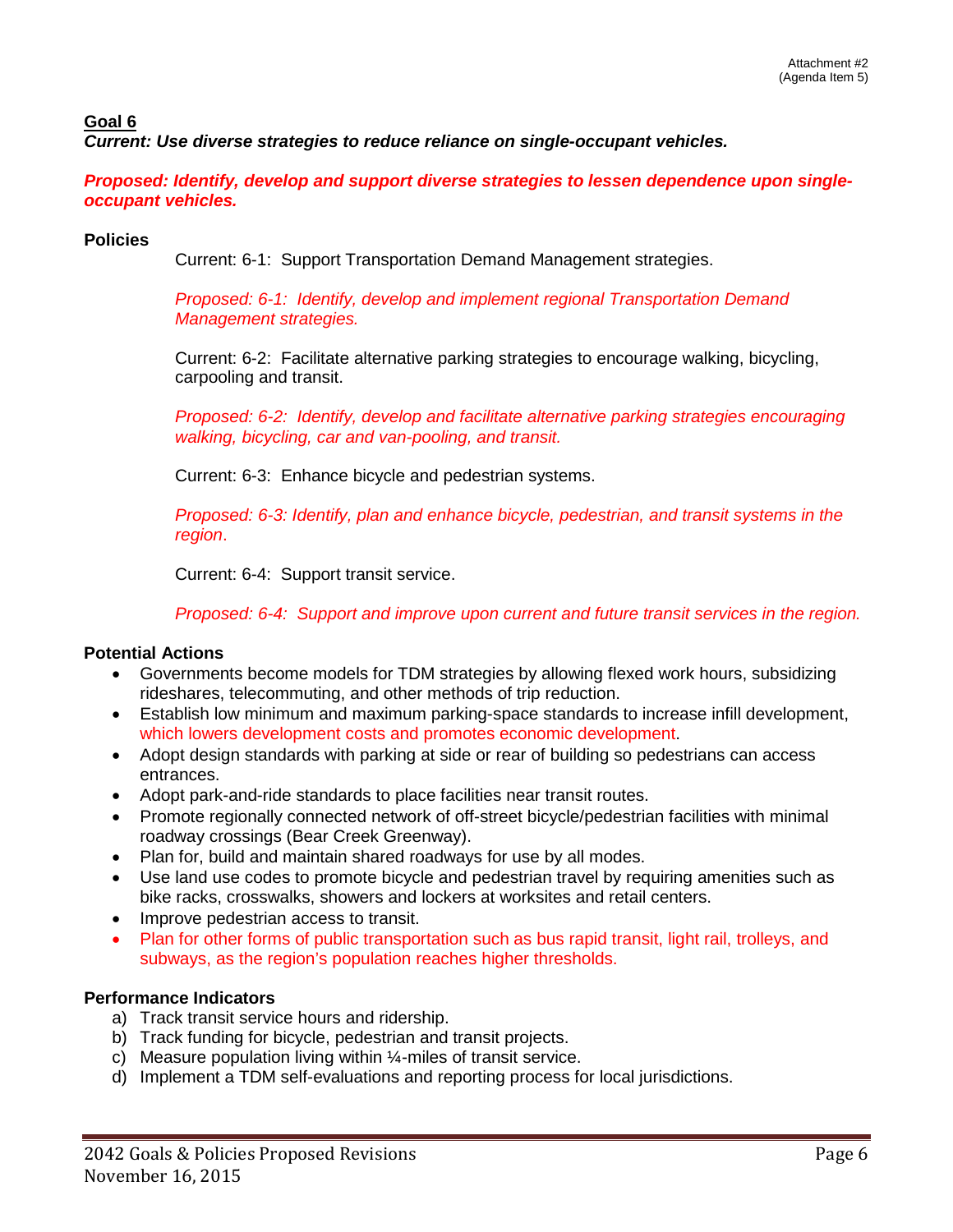# **Goal 6**

*Current: Use diverse strategies to reduce reliance on single-occupant vehicles.*

*Proposed: Identify, develop and support diverse strategies to lessen dependence upon singleoccupant vehicles.* 

## **Policies**

Current: 6-1: Support Transportation Demand Management strategies.

*Proposed: 6-1: Identify, develop and implement regional Transportation Demand Management strategies.*

Current: 6-2: Facilitate alternative parking strategies to encourage walking, bicycling, carpooling and transit.

*Proposed: 6-2: Identify, develop and facilitate alternative parking strategies encouraging walking, bicycling, car and van-pooling, and transit.* 

Current: 6-3: Enhance bicycle and pedestrian systems.

*Proposed: 6-3: Identify, plan and enhance bicycle, pedestrian, and transit systems in the region*.

Current: 6-4: Support transit service.

*Proposed: 6-4: Support and improve upon current and future transit services in the region.* 

# **Potential Actions**

- Governments become models for TDM strategies by allowing flexed work hours, subsidizing rideshares, telecommuting, and other methods of trip reduction.
- Establish low minimum and maximum parking-space standards to increase infill development, which lowers development costs and promotes economic development.
- Adopt design standards with parking at side or rear of building so pedestrians can access entrances.
- Adopt park-and-ride standards to place facilities near transit routes.
- Promote regionally connected network of off-street bicycle/pedestrian facilities with minimal roadway crossings (Bear Creek Greenway).
- Plan for, build and maintain shared roadways for use by all modes.
- Use land use codes to promote bicycle and pedestrian travel by requiring amenities such as bike racks, crosswalks, showers and lockers at worksites and retail centers.
- Improve pedestrian access to transit.
- Plan for other forms of public transportation such as bus rapid transit, light rail, trolleys, and subways, as the region's population reaches higher thresholds.

# **Performance Indicators**

- a) Track transit service hours and ridership.
- b) Track funding for bicycle, pedestrian and transit projects.
- c) Measure population living within ¼-miles of transit service.
- d) Implement a TDM self-evaluations and reporting process for local jurisdictions.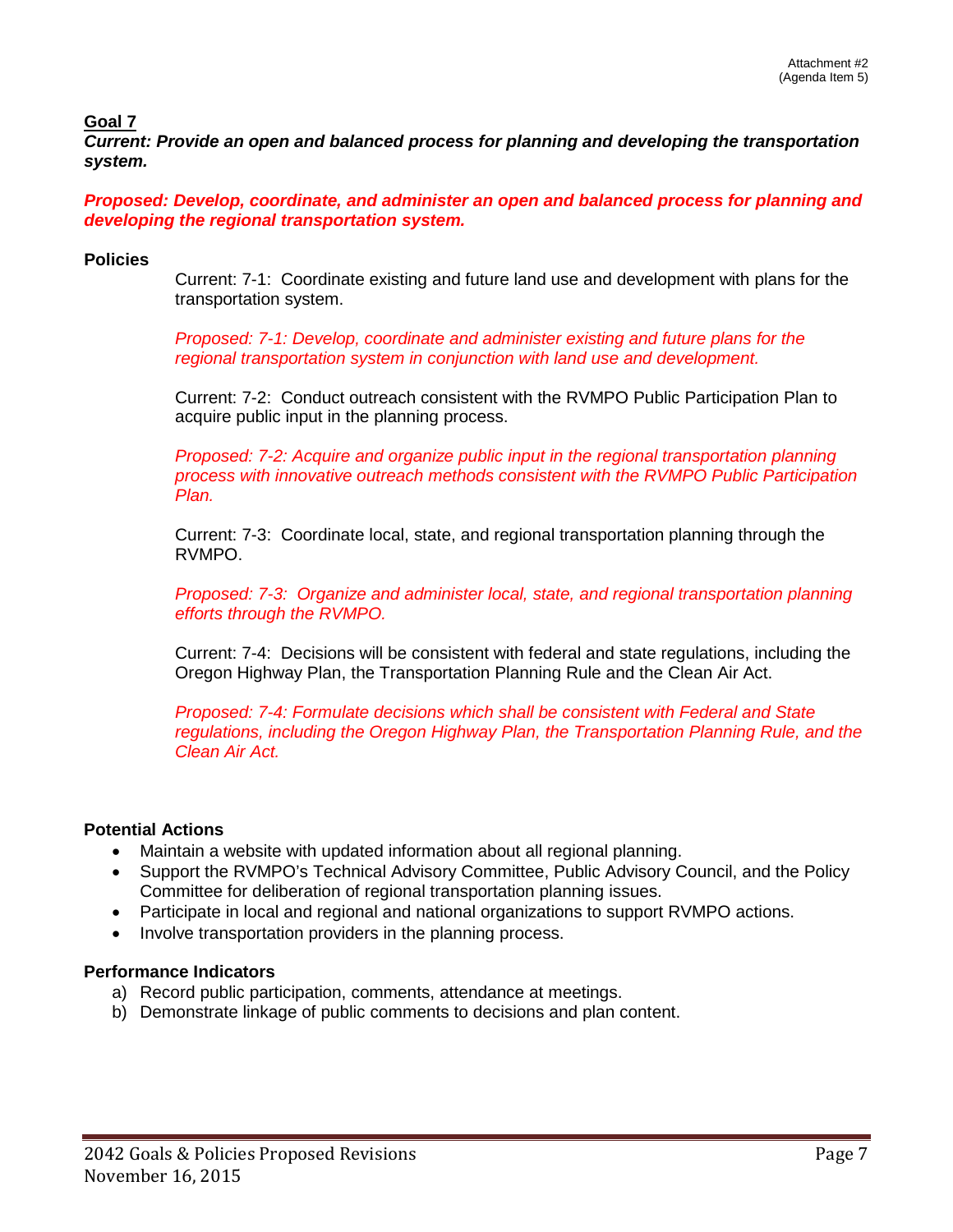## **Goal 7**

*Current: Provide an open and balanced process for planning and developing the transportation system.*

*Proposed: Develop, coordinate, and administer an open and balanced process for planning and developing the regional transportation system.* 

## **Policies**

Current: 7-1: Coordinate existing and future land use and development with plans for the transportation system.

*Proposed: 7-1: Develop, coordinate and administer existing and future plans for the regional transportation system in conjunction with land use and development.*

Current: 7-2: Conduct outreach consistent with the RVMPO Public Participation Plan to acquire public input in the planning process.

*Proposed: 7-2: Acquire and organize public input in the regional transportation planning process with innovative outreach methods consistent with the RVMPO Public Participation Plan.*

Current: 7-3: Coordinate local, state, and regional transportation planning through the RVMPO.

*Proposed: 7-3: Organize and administer local, state, and regional transportation planning efforts through the RVMPO.* 

Current: 7-4: Decisions will be consistent with federal and state regulations, including the Oregon Highway Plan, the Transportation Planning Rule and the Clean Air Act.

*Proposed: 7-4: Formulate decisions which shall be consistent with Federal and State regulations, including the Oregon Highway Plan, the Transportation Planning Rule, and the Clean Air Act.* 

# **Potential Actions**

- Maintain a website with updated information about all regional planning.
- Support the RVMPO's Technical Advisory Committee, Public Advisory Council, and the Policy Committee for deliberation of regional transportation planning issues.
- Participate in local and regional and national organizations to support RVMPO actions.
- Involve transportation providers in the planning process.

#### **Performance Indicators**

- a) Record public participation, comments, attendance at meetings.
- b) Demonstrate linkage of public comments to decisions and plan content.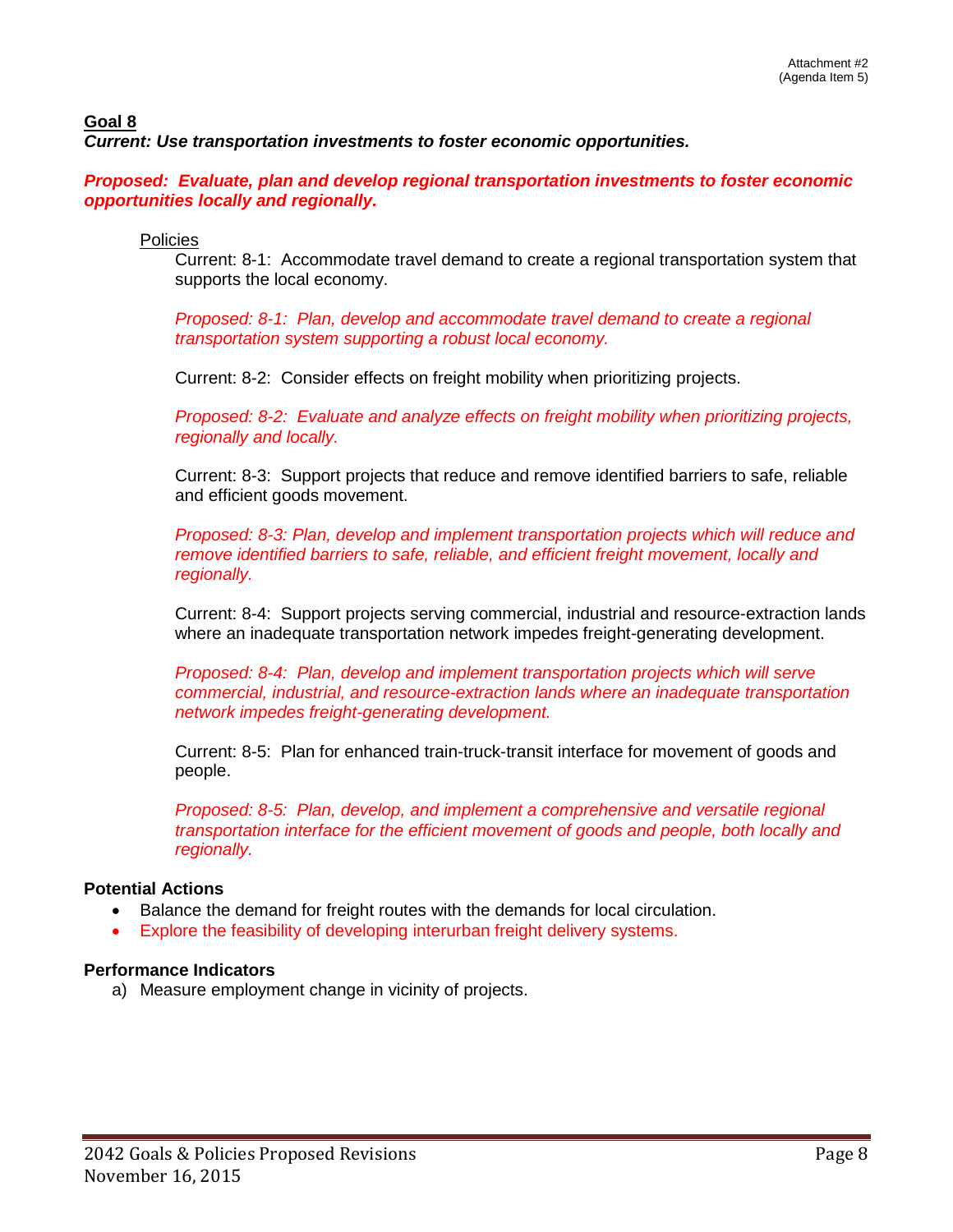#### **Goal 8** *Current: Use transportation investments to foster economic opportunities.*

*Proposed: Evaluate, plan and develop regional transportation investments to foster economic opportunities locally and regionally.* 

Policies

Current: 8-1: Accommodate travel demand to create a regional transportation system that supports the local economy.

*Proposed: 8-1: Plan, develop and accommodate travel demand to create a regional transportation system supporting a robust local economy.* 

Current: 8-2: Consider effects on freight mobility when prioritizing projects.

*Proposed: 8-2: Evaluate and analyze effects on freight mobility when prioritizing projects, regionally and locally.* 

Current: 8-3: Support projects that reduce and remove identified barriers to safe, reliable and efficient goods movement.

*Proposed: 8-3: Plan, develop and implement transportation projects which will reduce and remove identified barriers to safe, reliable, and efficient freight movement, locally and regionally.* 

Current: 8-4: Support projects serving commercial, industrial and resource-extraction lands where an inadequate transportation network impedes freight-generating development.

*Proposed: 8-4: Plan, develop and implement transportation projects which will serve commercial, industrial, and resource-extraction lands where an inadequate transportation network impedes freight-generating development.* 

Current: 8-5: Plan for enhanced train-truck-transit interface for movement of goods and people.

*Proposed: 8-5: Plan, develop, and implement a comprehensive and versatile regional transportation interface for the efficient movement of goods and people, both locally and regionally.* 

#### **Potential Actions**

- Balance the demand for freight routes with the demands for local circulation.
- Explore the feasibility of developing interurban freight delivery systems.

#### **Performance Indicators**

a) Measure employment change in vicinity of projects.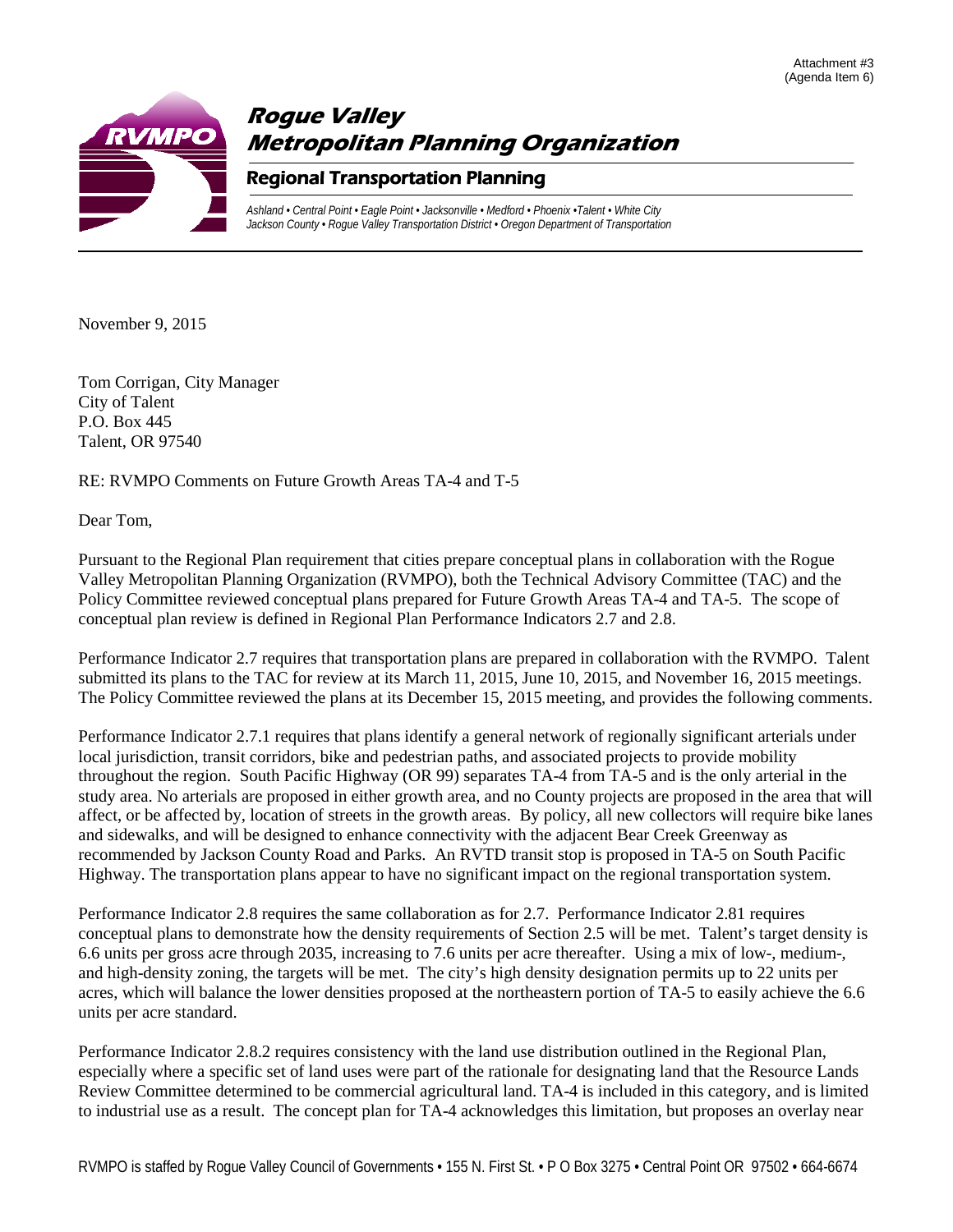



November 9, 2015

Tom Corrigan, City Manager City of Talent P.O. Box 445 Talent, OR 97540

RE: RVMPO Comments on Future Growth Areas TA-4 and T-5

Dear Tom,

Pursuant to the Regional Plan requirement that cities prepare conceptual plans in collaboration with the Rogue Valley Metropolitan Planning Organization (RVMPO), both the Technical Advisory Committee (TAC) and the Policy Committee reviewed conceptual plans prepared for Future Growth Areas TA-4 and TA-5. The scope of conceptual plan review is defined in Regional Plan Performance Indicators 2.7 and 2.8.

Performance Indicator 2.7 requires that transportation plans are prepared in collaboration with the RVMPO. Talent submitted its plans to the TAC for review at its March 11, 2015, June 10, 2015, and November 16, 2015 meetings. The Policy Committee reviewed the plans at its December 15, 2015 meeting, and provides the following comments.

Performance Indicator 2.7.1 requires that plans identify a general network of regionally significant arterials under local jurisdiction, transit corridors, bike and pedestrian paths, and associated projects to provide mobility throughout the region. South Pacific Highway (OR 99) separates TA-4 from TA-5 and is the only arterial in the study area. No arterials are proposed in either growth area, and no County projects are proposed in the area that will affect, or be affected by, location of streets in the growth areas. By policy, all new collectors will require bike lanes and sidewalks, and will be designed to enhance connectivity with the adjacent Bear Creek Greenway as recommended by Jackson County Road and Parks. An RVTD transit stop is proposed in TA-5 on South Pacific Highway. The transportation plans appear to have no significant impact on the regional transportation system.

Performance Indicator 2.8 requires the same collaboration as for 2.7. Performance Indicator 2.81 requires conceptual plans to demonstrate how the density requirements of Section 2.5 will be met. Talent's target density is 6.6 units per gross acre through 2035, increasing to 7.6 units per acre thereafter. Using a mix of low-, medium-, and high-density zoning, the targets will be met. The city's high density designation permits up to 22 units per acres, which will balance the lower densities proposed at the northeastern portion of TA-5 to easily achieve the 6.6 units per acre standard.

Performance Indicator 2.8.2 requires consistency with the land use distribution outlined in the Regional Plan, especially where a specific set of land uses were part of the rationale for designating land that the Resource Lands Review Committee determined to be commercial agricultural land. TA-4 is included in this category, and is limited to industrial use as a result. The concept plan for TA-4 acknowledges this limitation, but proposes an overlay near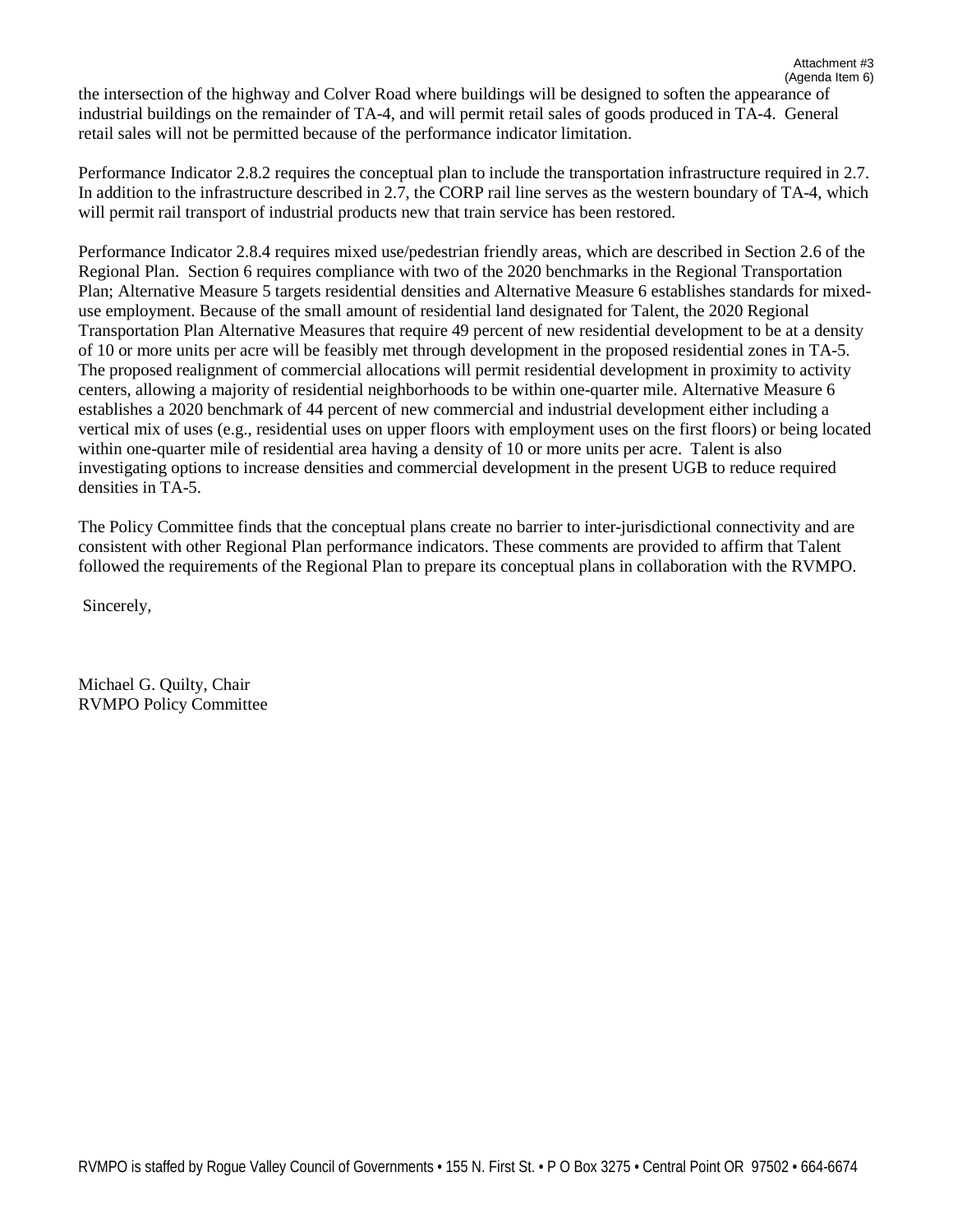(Agenda Item 6) the intersection of the highway and Colver Road where buildings will be designed to soften the appearance of industrial buildings on the remainder of TA-4, and will permit retail sales of goods produced in TA-4. General retail sales will not be permitted because of the performance indicator limitation.

Performance Indicator 2.8.2 requires the conceptual plan to include the transportation infrastructure required in 2.7. In addition to the infrastructure described in 2.7, the CORP rail line serves as the western boundary of TA-4, which will permit rail transport of industrial products new that train service has been restored.

Performance Indicator 2.8.4 requires mixed use/pedestrian friendly areas, which are described in Section 2.6 of the Regional Plan. Section 6 requires compliance with two of the 2020 benchmarks in the Regional Transportation Plan; Alternative Measure 5 targets residential densities and Alternative Measure 6 establishes standards for mixeduse employment. Because of the small amount of residential land designated for Talent, the 2020 Regional Transportation Plan Alternative Measures that require 49 percent of new residential development to be at a density of 10 or more units per acre will be feasibly met through development in the proposed residential zones in TA-5. The proposed realignment of commercial allocations will permit residential development in proximity to activity centers, allowing a majority of residential neighborhoods to be within one-quarter mile. Alternative Measure 6 establishes a 2020 benchmark of 44 percent of new commercial and industrial development either including a vertical mix of uses (e.g., residential uses on upper floors with employment uses on the first floors) or being located within one-quarter mile of residential area having a density of 10 or more units per acre. Talent is also investigating options to increase densities and commercial development in the present UGB to reduce required densities in TA-5.

The Policy Committee finds that the conceptual plans create no barrier to inter-jurisdictional connectivity and are consistent with other Regional Plan performance indicators. These comments are provided to affirm that Talent followed the requirements of the Regional Plan to prepare its conceptual plans in collaboration with the RVMPO.

Sincerely,

Michael G. Quilty, Chair RVMPO Policy Committee Attachment #3